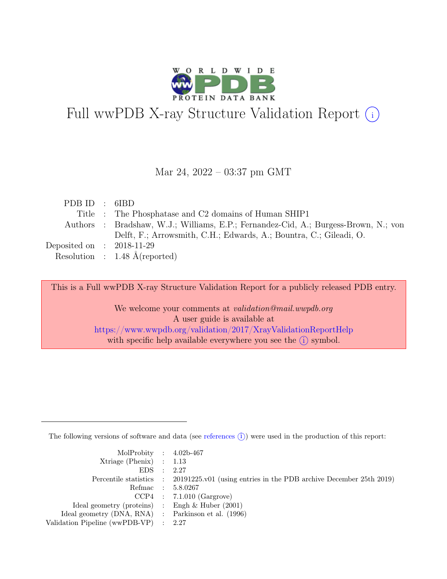

# Full wwPDB X-ray Structure Validation Report  $(i)$

#### Mar 24, 2022 – 03:37 pm GMT

| PDBID : 6IBD                |                                                                                     |
|-----------------------------|-------------------------------------------------------------------------------------|
|                             | Title : The Phosphatase and C2 domains of Human SHIP1                               |
|                             | Authors : Bradshaw, W.J.; Williams, E.P.; Fernandez-Cid, A.; Burgess-Brown, N.; von |
|                             | Delft, F.; Arrowsmith, C.H.; Edwards, A.; Bountra, C.; Gileadi, O.                  |
| Deposited on : $2018-11-29$ |                                                                                     |
|                             | Resolution : $1.48 \text{ Å}$ (reported)                                            |

This is a Full wwPDB X-ray Structure Validation Report for a publicly released PDB entry.

We welcome your comments at *validation@mail.wwpdb.org* A user guide is available at <https://www.wwpdb.org/validation/2017/XrayValidationReportHelp> with specific help available everywhere you see the  $(i)$  symbol.

The following versions of software and data (see [references](https://www.wwpdb.org/validation/2017/XrayValidationReportHelp#references)  $(i)$ ) were used in the production of this report:

| MolProbity : $4.02b-467$                            |                                                                                            |
|-----------------------------------------------------|--------------------------------------------------------------------------------------------|
| $Xtriangle (Phenix)$ : 1.13                         |                                                                                            |
| EDS : 2.27                                          |                                                                                            |
|                                                     | Percentile statistics : 20191225.v01 (using entries in the PDB archive December 25th 2019) |
|                                                     | Refmac : 5.8.0267                                                                          |
|                                                     | $CCP4$ : 7.1.010 (Gargrove)                                                                |
| Ideal geometry (proteins) : Engh $\&$ Huber (2001)  |                                                                                            |
| Ideal geometry (DNA, RNA) : Parkinson et al. (1996) |                                                                                            |
| Validation Pipeline (wwPDB-VP) : 2.27               |                                                                                            |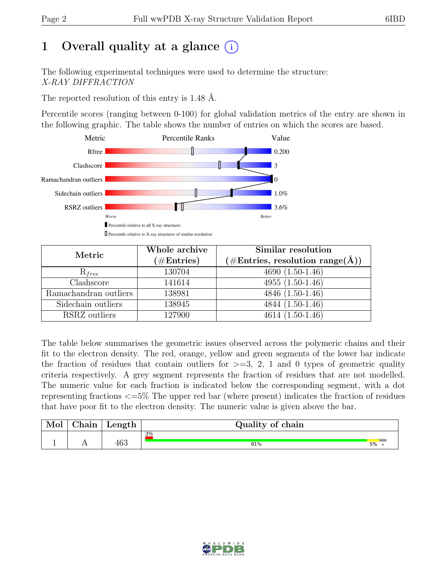# 1 Overall quality at a glance  $(i)$

The following experimental techniques were used to determine the structure: X-RAY DIFFRACTION

The reported resolution of this entry is 1.48 Å.

Percentile scores (ranging between 0-100) for global validation metrics of the entry are shown in the following graphic. The table shows the number of entries on which the scores are based.



| Metric                | Whole archive | Similar resolution                                  |
|-----------------------|---------------|-----------------------------------------------------|
|                       | $(\#Entries)$ | $(\# \text{Entries}, \text{resolution range}(\AA))$ |
| $R_{free}$            | 130704        | $\overline{4690}$ $(1.50-1.46)$                     |
| Clashscore            | 141614        | 4955 $(1.50-1.46)$                                  |
| Ramachandran outliers | 138981        | $4846 (1.50-1.46)$                                  |
| Sidechain outliers    | 138945        | $4844(1.50-1.46)$                                   |
| RSRZ outliers         | 127900        | $4614(1.50-1.46)$                                   |

The table below summarises the geometric issues observed across the polymeric chains and their fit to the electron density. The red, orange, yellow and green segments of the lower bar indicate the fraction of residues that contain outliers for  $\geq$ =3, 2, 1 and 0 types of geometric quality criteria respectively. A grey segment represents the fraction of residues that are not modelled. The numeric value for each fraction is indicated below the corresponding segment, with a dot representing fractions <=5% The upper red bar (where present) indicates the fraction of residues that have poor fit to the electron density. The numeric value is given above the bar.

| Mol      | $\sim$ $\sim$<br>'hain | Length | Quality of chain |    |
|----------|------------------------|--------|------------------|----|
| <b>T</b> | . .                    | 463    | 3%<br>91%        | 5% |

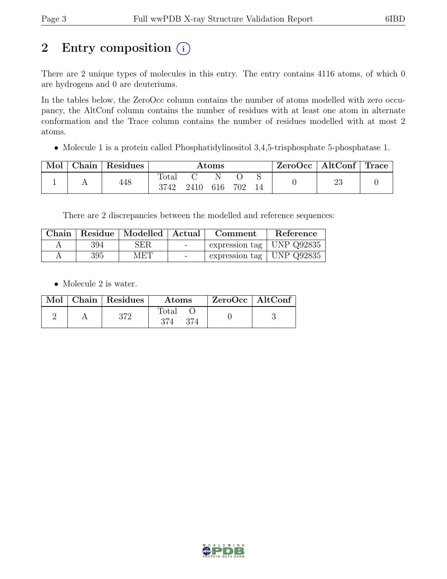# 2 Entry composition  $(i)$

There are 2 unique types of molecules in this entry. The entry contains 4116 atoms, of which 0 are hydrogens and 0 are deuteriums.

In the tables below, the ZeroOcc column contains the number of atoms modelled with zero occupancy, the AltConf column contains the number of residues with at least one atom in alternate conformation and the Trace column contains the number of residues modelled with at most 2 atoms.

• Molecule 1 is a protein called Phosphatidylinositol 3,4,5-trisphosphate 5-phosphatase 1.

| Mol | Chain | Residues | $\rm{Atoms}$  |      |          |     | $\text{ZeroOcc}$   AltConf   Trace |    |  |
|-----|-------|----------|---------------|------|----------|-----|------------------------------------|----|--|
|     |       | 448      | Total<br>3742 | 2410 | N<br>616 | 702 |                                    | ∠⊾ |  |

There are 2 discrepancies between the modelled and reference sequences:

|     | Chain   Residue   Modelled   Actual |        | Comment                       | Reference |
|-----|-------------------------------------|--------|-------------------------------|-----------|
| 394 | <b>SER</b>                          | $\sim$ | expression tag   UNP $Q92835$ |           |
| 395 | MET                                 | $\sim$ | expression tag   UNP $Q92835$ |           |

• Molecule 2 is water.

|  | Mol   Chain   Residues | Atoms | $ZeroOcc \   \$ AltConf |
|--|------------------------|-------|-------------------------|
|  | היים                   | Total |                         |

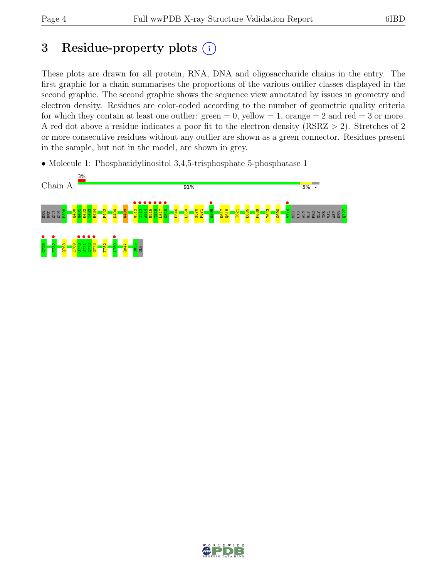# 3 Residue-property plots  $(i)$

These plots are drawn for all protein, RNA, DNA and oligosaccharide chains in the entry. The first graphic for a chain summarises the proportions of the various outlier classes displayed in the second graphic. The second graphic shows the sequence view annotated by issues in geometry and electron density. Residues are color-coded according to the number of geometric quality criteria for which they contain at least one outlier:  $green = 0$ , yellow  $= 1$ , orange  $= 2$  and red  $= 3$  or more. A red dot above a residue indicates a poor fit to the electron density (RSRZ > 2). Stretches of 2 or more consecutive residues without any outlier are shown as a green connector. Residues present in the sample, but not in the model, are shown in grey.

• Molecule 1: Phosphatidylinositol 3,4,5-trisphosphate 5-phosphatase 1



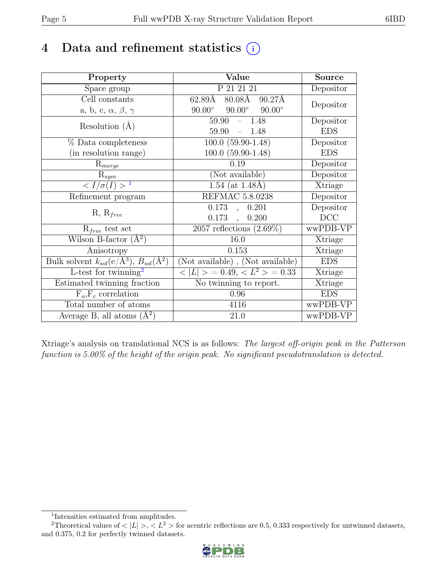# 4 Data and refinement statistics  $(i)$

| Property                                                             | Value                                                       | <b>Source</b> |
|----------------------------------------------------------------------|-------------------------------------------------------------|---------------|
| Space group                                                          | P 21 21 21                                                  | Depositor     |
| Cell constants                                                       | $62.89\text{\AA}$<br>$80.08\text{\AA}$<br>$90.27\text{\AA}$ | Depositor     |
| a, b, c, $\alpha$ , $\beta$ , $\gamma$                               | $90.00^\circ$<br>$90.00^\circ$<br>$90.00^\circ$             |               |
| Resolution $(A)$                                                     | 59.90<br>1.48<br>$\equiv$                                   | Depositor     |
|                                                                      | 59.90<br>$\equiv$ .<br>1.48                                 | <b>EDS</b>    |
| $\%$ Data completeness                                               | $100.0(59.90-1.48)$                                         | Depositor     |
| (in resolution range)                                                | $100.0(59.90-1.48)$                                         | <b>EDS</b>    |
| $R_{merge}$                                                          | 0.19                                                        | Depositor     |
| $\mathrm{R}_{sym}$                                                   | (Not available)                                             | Depositor     |
| $\langle I/\sigma(I) \rangle^{-1}$                                   | 1.54 (at $1.48\text{\AA})$                                  | Xtriage       |
| Refinement program                                                   | REFMAC 5.8.0238                                             | Depositor     |
| $R, R_{free}$                                                        | 0.173<br>0.201<br>$\overline{\phantom{a}}$                  | Depositor     |
|                                                                      | 0.173,<br>0.200                                             | DCC           |
| $R_{free}$ test set                                                  | $2057$ reflections $(2.69\%)$                               | wwPDB-VP      |
| Wilson B-factor $(A^2)$                                              | 16.0                                                        | Xtriage       |
| Anisotropy                                                           | 0.153                                                       | Xtriage       |
| Bulk solvent $k_{sol}(e/\mathring{A}^3)$ , $B_{sol}(\mathring{A}^2)$ | (Not available), (Not available)                            | <b>EDS</b>    |
| L-test for twinning <sup>2</sup>                                     | $< L >$ = 0.49, $< L^2 >$ = 0.33                            | Xtriage       |
| Estimated twinning fraction                                          | No twinning to report.                                      | Xtriage       |
| $F_o, F_c$ correlation                                               | 0.96                                                        | <b>EDS</b>    |
| Total number of atoms                                                | 4116                                                        | wwPDB-VP      |
| Average B, all atoms $(A^2)$                                         | 21.0                                                        | wwPDB-VP      |

Xtriage's analysis on translational NCS is as follows: The largest off-origin peak in the Patterson function is 5.00% of the height of the origin peak. No significant pseudotranslation is detected.

<sup>&</sup>lt;sup>2</sup>Theoretical values of  $\langle |L| \rangle$ ,  $\langle L^2 \rangle$  for acentric reflections are 0.5, 0.333 respectively for untwinned datasets, and 0.375, 0.2 for perfectly twinned datasets.



<span id="page-4-1"></span><span id="page-4-0"></span><sup>1</sup> Intensities estimated from amplitudes.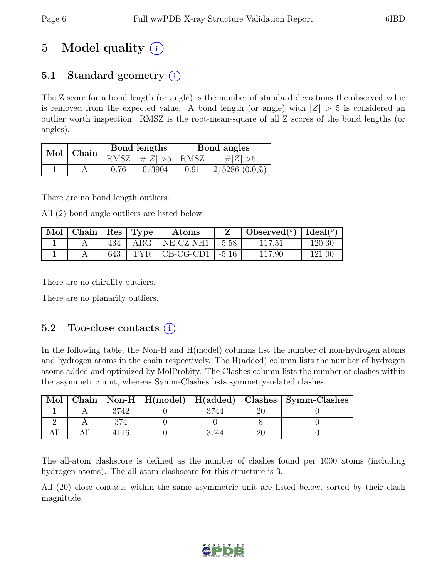# 5 Model quality  $(i)$

## 5.1 Standard geometry (i)

The Z score for a bond length (or angle) is the number of standard deviations the observed value is removed from the expected value. A bond length (or angle) with  $|Z| > 5$  is considered an outlier worth inspection. RMSZ is the root-mean-square of all Z scores of the bond lengths (or angles).

| $\operatorname{Mol}$ | Chain |      | Bond lengths                        | Bond angles |                 |  |
|----------------------|-------|------|-------------------------------------|-------------|-----------------|--|
|                      |       |      | RMSZ $\mid \#Z \mid >5$ RMSZ $\mid$ |             | # $ Z  > 5$     |  |
|                      |       | 0.76 | 0/3904                              | 0.91        | $2/5286$ (0.0%) |  |

There are no bond length outliers.

All (2) bond angle outliers are listed below:

| $\mid$ Mol $\mid$ Chain $\mid$ Res $\mid$ Type |     |             | Atoms                     | Observed( $^{\circ}$ )   Ideal( $^{\circ}$ ) |        |
|------------------------------------------------|-----|-------------|---------------------------|----------------------------------------------|--------|
|                                                |     | $434$   ARG | NE-CZ-NH1   -5.58         | 117.51                                       | 120.30 |
|                                                | 643 |             | $TYR$   CB-CG-CD1   -5.16 | 117.90                                       | 121.00 |

There are no chirality outliers.

There are no planarity outliers.

### 5.2 Too-close contacts  $(i)$

In the following table, the Non-H and H(model) columns list the number of non-hydrogen atoms and hydrogen atoms in the chain respectively. The H(added) column lists the number of hydrogen atoms added and optimized by MolProbity. The Clashes column lists the number of clashes within the asymmetric unit, whereas Symm-Clashes lists symmetry-related clashes.

| Mol |      |  | Chain   Non-H   H(model)   H(added)   Clashes   Symm-Clashes |
|-----|------|--|--------------------------------------------------------------|
|     | 3742 |  |                                                              |
|     |      |  |                                                              |
|     |      |  |                                                              |

The all-atom clashscore is defined as the number of clashes found per 1000 atoms (including hydrogen atoms). The all-atom clashscore for this structure is 3.

All (20) close contacts within the same asymmetric unit are listed below, sorted by their clash magnitude.

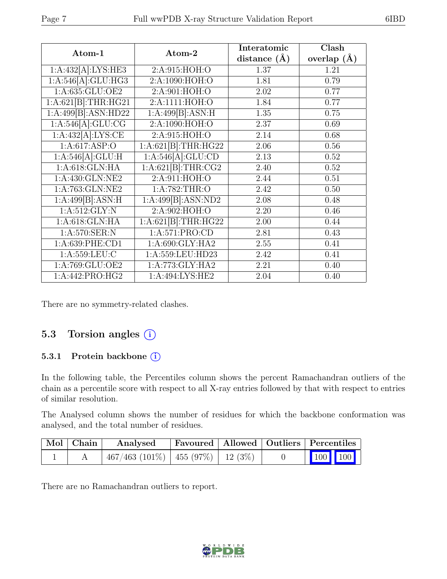| Atom-1                         | Atom-2                     | Interatomic      | Clash           |
|--------------------------------|----------------------------|------------------|-----------------|
|                                |                            | distance $(\AA)$ | overlap $(\AA)$ |
| 1:A:432[A]:LYS:HE3             | 2:A:915:HOH:O              | 1.37             | 1.21            |
| 1:A:546[A]:GLU:HG3             | 2:A:1090:HOH:O             | 1.81             | 0.79            |
| 1: A:635: GLU:OE2              | 2:A:901:HOH:O              | 2.02             | 0.77            |
| 1:A:621[B]:THR:HG21            | 2:A:1111:HOH:O             | 1.84             | 0.77            |
| 1:A:499[B]:ASN:HD22            | 1:A:499[B]:ASN:H           | 1.35             | 0.75            |
| 1:A:546[A]:GLU:CG              | 2:A:1090:HOH:O             | 2.37             | 0.69            |
| 1:A:432[A]:LYS:CE              | 2:A:915:HOH:O              | 2.14             | 0.68            |
| 1:A:617:ASP:O                  | 1:A:621[B]:THR:HG22        | 2.06             | 0.56            |
| 1:A:546[A]:GLU:H               | 1:A:546[A]:GLU:CD          | 2.13             | 0.52            |
| 1: A:618: GLN: HA              | 1:A:621[B]:THR:CG2         | 2.40             | 0.52            |
| $1: A:430: \overline{GLN:NE2}$ | $2:\overline{A:911:HOH:O}$ | 2.44             | 0.51            |
| 1:A:763:GLN:NE2                | 1:A:782:THR:O              | 2.42             | 0.50            |
| 1:A:499[B]:ASN:H               | 1:A:499[B]:ASN:ND2         | 2.08             | 0.48            |
| 1: A:512: GLY:N                | 2:A:902:HOH:O              | 2.20             | 0.46            |
| 1:A:618:GLN:HA                 | 1:A:621[B]:THR:HG22        | 2.00             | 0.44            |
| 1:A:570:SER:N                  | 1:A:571:PRO:CD             | 2.81             | 0.43            |
| 1:A:639:PHE:CD1                | 1:A:690:GLY:HA2            | 2.55             | 0.41            |
| 1: A: 559: LEU: C              | 1:A:559:LEU:HD23           | 2.42             | 0.41            |
| 1:A:769:GLU:OE2                | 1:A:773:GLY:HA2            | 2.21             | 0.40            |
| 1:A:442:PRO:HG2                | 1:A:494:LYS:HE2            | 2.04             | 0.40            |

There are no symmetry-related clashes.

### 5.3 Torsion angles (i)

#### 5.3.1 Protein backbone (i)

In the following table, the Percentiles column shows the percent Ramachandran outliers of the chain as a percentile score with respect to all X-ray entries followed by that with respect to entries of similar resolution.

The Analysed column shows the number of residues for which the backbone conformation was analysed, and the total number of residues.

| Mol   Chain | Analysed                                  |  | Favoured   Allowed   Outliers   Percentiles |
|-------------|-------------------------------------------|--|---------------------------------------------|
|             | $467/463$ (101\%)   455 (97\%)   12 (3\%) |  | 100 100                                     |

There are no Ramachandran outliers to report.

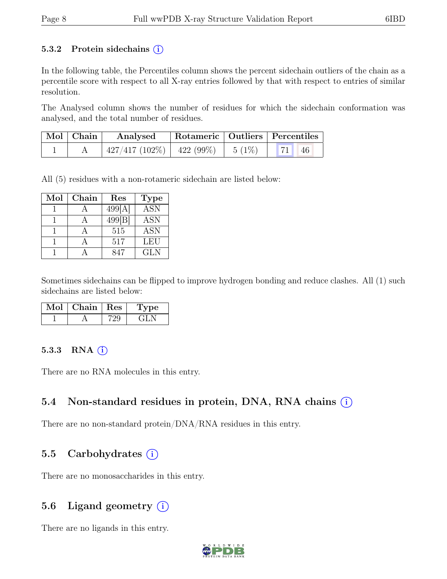#### 5.3.2 Protein sidechains  $(i)$

In the following table, the Percentiles column shows the percent sidechain outliers of the chain as a percentile score with respect to all X-ray entries followed by that with respect to entries of similar resolution.

The Analysed column shows the number of residues for which the sidechain conformation was analysed, and the total number of residues.

| $\vert$ Mol $\vert$ Chain $\vert$ | Analysed                                 | Rotameric   Outliers   Percentiles |              |
|-----------------------------------|------------------------------------------|------------------------------------|--------------|
|                                   | $427/417$ (102\%)   422 (99\%)   5 (1\%) |                                    | <b>71</b> 46 |

All (5) residues with a non-rotameric sidechain are listed below:

| Mol | Chain | Res               | <b>Type</b> |
|-----|-------|-------------------|-------------|
|     |       | 499[A]            | <b>ASN</b>  |
|     |       | $499\overline{B}$ | ASN         |
|     |       | 515               | <b>ASN</b>  |
|     |       | 517               | <b>LEU</b>  |
|     |       | 847               | <b>GLN</b>  |

Sometimes sidechains can be flipped to improve hydrogen bonding and reduce clashes. All (1) such sidechains are listed below:

| Mol | Chain   Res | vpe |
|-----|-------------|-----|
|     |             |     |

#### 5.3.3 RNA  $(i)$

There are no RNA molecules in this entry.

### 5.4 Non-standard residues in protein, DNA, RNA chains  $\circ$

There are no non-standard protein/DNA/RNA residues in this entry.

### 5.5 Carbohydrates  $(i)$

There are no monosaccharides in this entry.

### 5.6 Ligand geometry  $(i)$

There are no ligands in this entry.

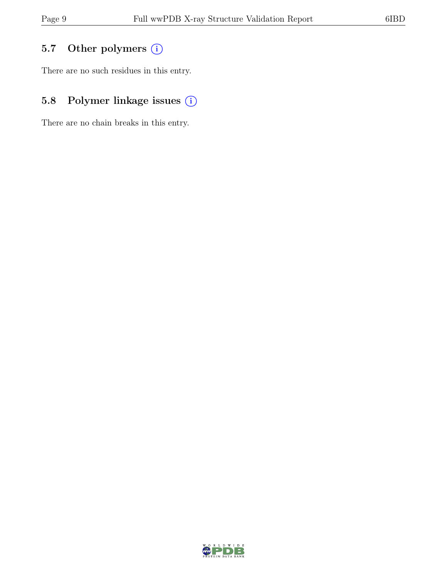# 5.7 Other polymers (i)

There are no such residues in this entry.

# 5.8 Polymer linkage issues (i)

There are no chain breaks in this entry.

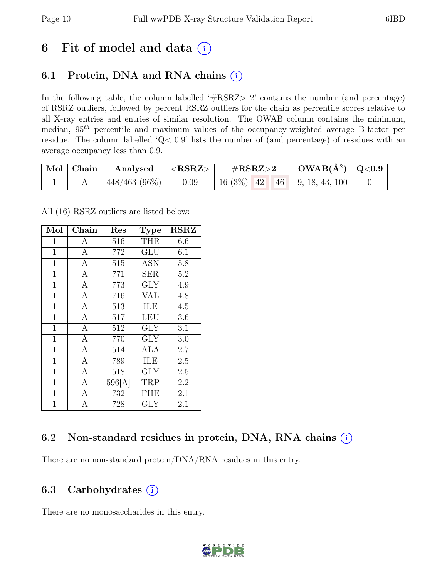# 6 Fit of model and data  $(i)$

## 6.1 Protein, DNA and RNA chains  $(i)$

In the following table, the column labelled ' $\#\text{RSRZ}>2$ ' contains the number (and percentage) of RSRZ outliers, followed by percent RSRZ outliers for the chain as percentile scores relative to all X-ray entries and entries of similar resolution. The OWAB column contains the minimum, median,  $95<sup>th</sup>$  percentile and maximum values of the occupancy-weighted average B-factor per residue. The column labelled 'Q< 0.9' lists the number of (and percentage) of residues with an average occupancy less than 0.9.

| $\mid$ Mol $\mid$ Chain | Analysed        | $\mid$ <rsrz></rsrz> | $\#\text{RSRZ}\text{>2}$       | $\mid$ OWAB(Å <sup>2</sup> ) $\mid$ Q<0.9 |  |
|-------------------------|-----------------|----------------------|--------------------------------|-------------------------------------------|--|
|                         | $448/463(96\%)$ | 0.09                 | $16(3\%)$ 42 46 9, 18, 43, 100 |                                           |  |

All (16) RSRZ outliers are listed below:

| Mol          | Chain            | Res    | <b>Type</b>             | <b>RSRZ</b> |
|--------------|------------------|--------|-------------------------|-------------|
| 1            | A                | 516    | <b>THR</b>              | 6.6         |
| $\mathbf{1}$ | $\boldsymbol{A}$ | 772    | GLU                     | 6.1         |
| $\mathbf{1}$ | $\overline{A}$   | 515    | <b>ASN</b>              | 5.8         |
| $\mathbf{1}$ | $\overline{A}$   | 771    | <b>SER</b>              | 5.2         |
| $\mathbf{1}$ | $\overline{A}$   | 773    | $\overline{\text{GLY}}$ | 4.9         |
| $\mathbf{1}$ | $\mathbf{A}$     | 716    | <b>VAL</b>              | 4.8         |
| $\mathbf{1}$ | $\overline{A}$   | 513    | ILE                     | 4.5         |
| $\mathbf{1}$ | $\overline{A}$   | 517    | LEU                     | 3.6         |
| $\mathbf{1}$ | $\overline{A}$   | 512    | <b>GLY</b>              | 3.1         |
| $\mathbf{1}$ | $\overline{A}$   | 770    | $\overline{\text{GLY}}$ | 3.0         |
| $\mathbf{1}$ | $\overline{A}$   | 514    | ALA                     | 2.7         |
| $\mathbf{1}$ | A                | 789    | ILE                     | 2.5         |
| $\mathbf{1}$ | $\overline{A}$   | 518    | <b>GLY</b>              | 2.5         |
| $\mathbf{1}$ | $\mathbf{A}$     | 596[A] | TRP                     | 2.2         |
| $\mathbf{1}$ | $\mathbf{A}$     | 732    | PHE                     | 2.1         |
| $\mathbf{1}$ | $\overline{A}$   | 728    | <b>GLY</b>              | 2.1         |

### 6.2 Non-standard residues in protein, DNA, RNA chains (i)

There are no non-standard protein/DNA/RNA residues in this entry.

### 6.3 Carbohydrates  $(i)$

There are no monosaccharides in this entry.